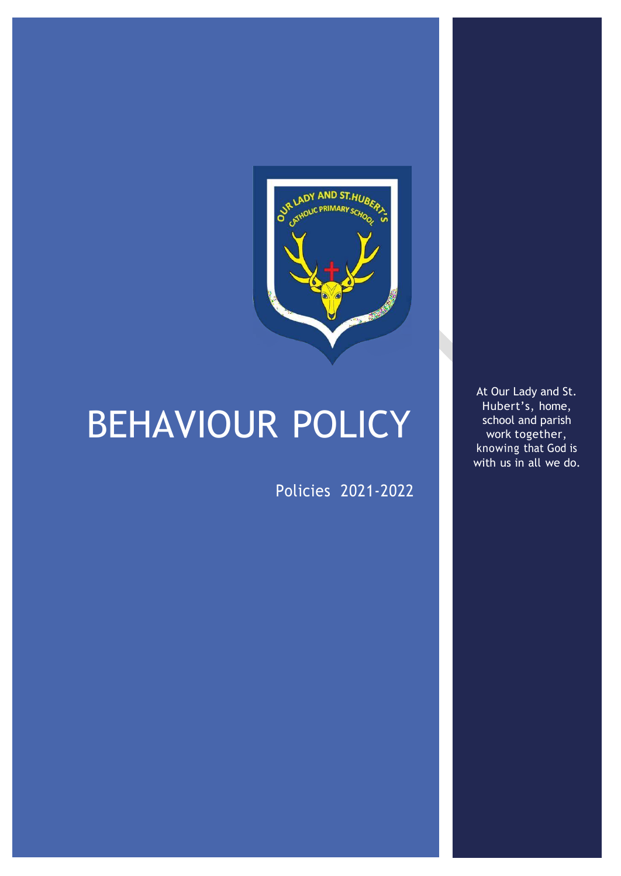

# BEHAVIOUR POLICY

Policies 2021-2022

At Our Lady and St. Hubert's, home, school and parish work together, knowing that God is with us in all we do.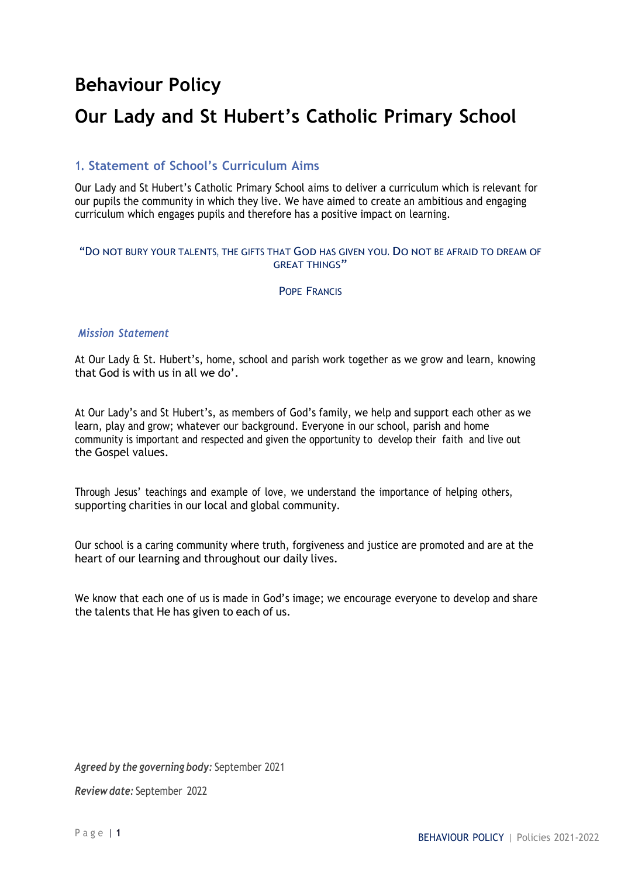# **Behaviour Policy**

# **Our Lady and St Hubert's Catholic Primary School**

# **1. Statement of School's Curriculum Aims**

Our Lady and St Hubert's Catholic Primary School aims to deliver a curriculum which is relevant for our pupils the community in which they live. We have aimed to create an ambitious and engaging curriculum which engages pupils and therefore has a positive impact on learning.

#### "DO NOT BURY YOUR TALENTS, THE GIFTS THAT GOD HAS GIVEN YOU. DO NOT BE AFRAID TO DREAM OF GREAT THINGS"

#### POPE FRANCIS

#### *Mission Statement*

At Our Lady & St. Hubert's, home, school and parish work together as we grow and learn, knowing that God is with us in all we do'.

At Our Lady's and St Hubert's, as members of God's family, we help and support each other as we learn, play and grow; whatever our background. Everyone in our school, parish and home community is important and respected and given the opportunity to develop their faith and live out the Gospel values.

Through Jesus' teachings and example of love, we understand the importance of helping others, supporting charities in our local and global community.

Our school is a caring community where truth, forgiveness and justice are promoted and are at the heart of our learning and throughout our daily lives.

We know that each one of us is made in God's image; we encourage everyone to develop and share the talents that He has given to each of us.

*Agreed by the governing body:* September 2021

*Review date:* September 2022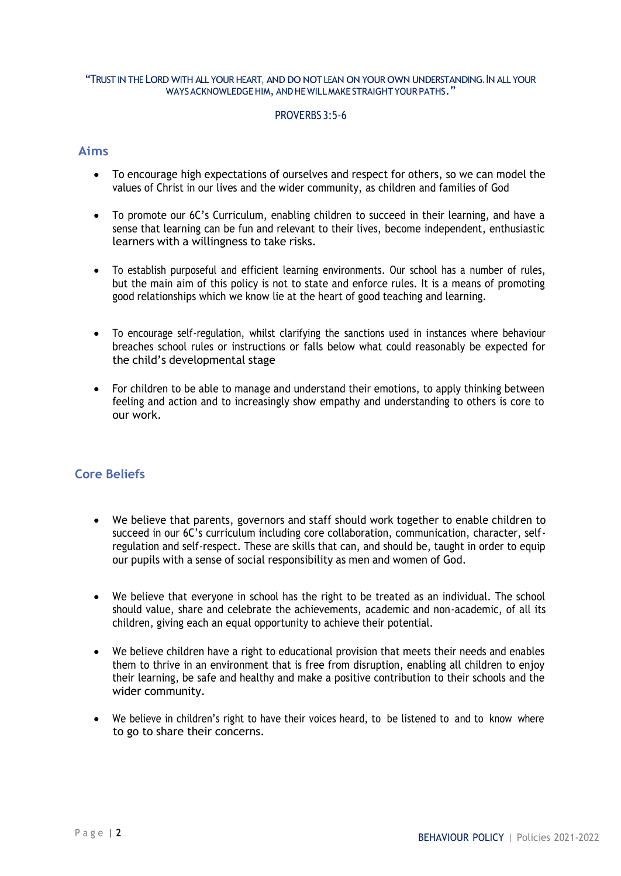#### "TRUST IN THE LORD WITH ALL YOUR HEART, AND DONOT LEAN ON YOUR OWN UNDERSTANDING. INALL YOUR WAYS ACKNOWLEDGE HIM, AND HE WILL MAKE STRAIGHT YOUR PATHS."

#### PROVERBS 3:5-6

#### **Aims**

- To encourage high expectations of ourselves and respect for others, so we can model the values of Christ in our lives and the wider community, as children and families of God
- To promote our 6C's Curriculum, enabling children to succeed in their learning, and have a sense that learning can be fun and relevant to their lives, become independent, enthusiastic learners with a willingness to take risks.
- To establish purposeful and efficient learning environments. Our school has a number of rules, but the main aim of this policy is not to state and enforce rules. It is a means of promoting good relationships which we know lie at the heart of good teaching and learning.
- To encourage self-regulation, whilst clarifying the sanctions used in instances where behaviour breaches school rules or instructions or falls below what could reasonably be expected for the child's developmental stage
- For children to be able to manage and understand their emotions, to apply thinking between feeling and action and to increasingly show empathy and understanding to others is core to our work.

# **Core Beliefs**

- We believe that parents, governors and staff should work together to enable children to succeed in our 6C's curriculum including core collaboration, communication, character, selfregulation and self-respect. These are skills that can, and should be, taught in order to equip our pupils with a sense of social responsibility as men and women of God.
- We believe that everyone in school has the right to be treated as an individual. The school should value, share and celebrate the achievements, academic and non-academic, of all its children, giving each an equal opportunity to achieve their potential.
- We believe children have a right to educational provision that meets their needs and enables them to thrive in an environment that is free from disruption, enabling all children to enjoy their learning, be safe and healthy and make a positive contribution to their schools and the wider community.
- We believe in children's right to have their voices heard, to be listened to and to know where to go to share their concerns.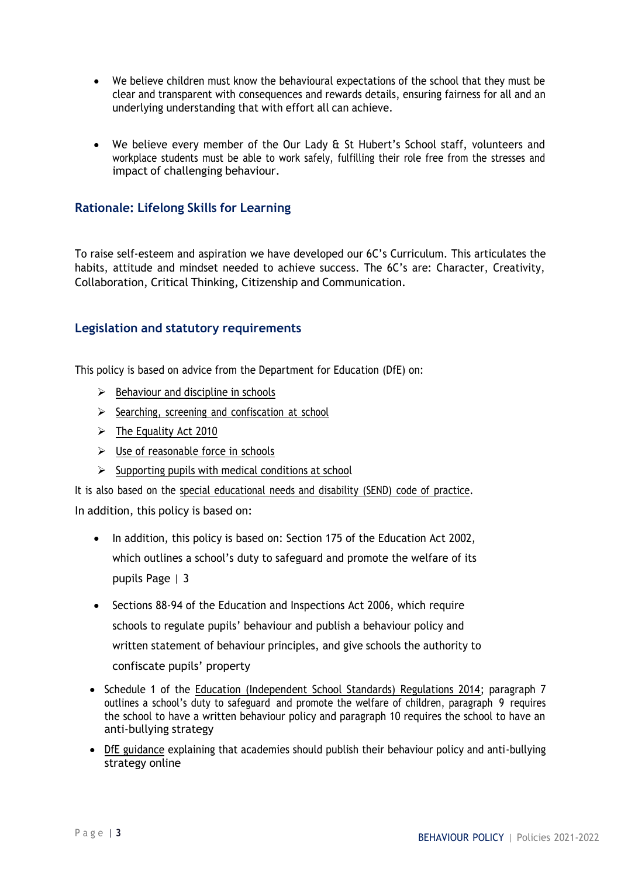- We believe children must know the behavioural expectations of the school that they must be clear and transparent with consequences and rewards details, ensuring fairness for all and an underlying understanding that with effort all can achieve.
- We believe every member of the Our Lady & St Hubert's School staff, volunteers and workplace students must be able to work safely, fulfilling their role free from the stresses and impact of challenging behaviour.

# **Rationale: Lifelong Skills for Learning**

To raise self-esteem and aspiration we have developed our 6C's Curriculum. This articulates the habits, attitude and mindset needed to achieve success. The 6C's are: Character, Creativity, Collaboration, Critical Thinking, Citizenship and Communication.

# **Legislation and statutory requirements**

This policy is based on advice from the Department for Education (DfE) on:

- $\triangleright$  [Behaviour](https://www.gov.uk/government/publications/behaviour-and-discipline-in-schools) and discipline in schools
- $\triangleright$  Searching, screening and [confiscation](https://www.gov.uk/government/publications/searching-screening-and-confiscation) at school
- $\triangleright$  The [Equality](https://www.gov.uk/government/publications/equality-act-2010-advice-for-schools) Act 2010
- $\triangleright$  Use of [reasonable](https://www.gov.uk/government/publications/use-of-reasonable-force-in-schools) force in schools
- $\triangleright$  [Supporting](https://www.gov.uk/government/publications/supporting-pupils-at-school-with-medical-conditions--3) pupils with medical conditions at school

It is also based on the special [educational](https://www.gov.uk/government/publications/send-code-of-practice-0-to-25) needs and disability (SEND) code of practice. In addition, this policy is based on:

- In addition, this policy is based on: Section 175 of the Education Act 2002, which outlines a school's duty to safeguard and promote the welfare of its pupils Page | 3
- Sections 88-94 of the Education and Inspections Act 2006, which require schools to regulate pupils' behaviour and publish a behaviour policy and written statement of behaviour principles, and give schools the authority to confiscate pupils' property
- Schedule 1 of the [Education \(Independent School Standards\) Regulations 2014; p](http://www.legislation.gov.uk/uksi/2014/3283/schedule/made)aragraph 7 outlines a school's duty to safeguard and promote the welfare of children, paragraph 9 requires the school to have a written behaviour policy and paragraph 10 requires the school to have an anti-bullying strategy
- [DfE guidance](https://www.gov.uk/guidance/what-academies-free-schools-and-colleges-should-publish-online) explaining that academies should publish their behaviour policy and anti-bullying strategy online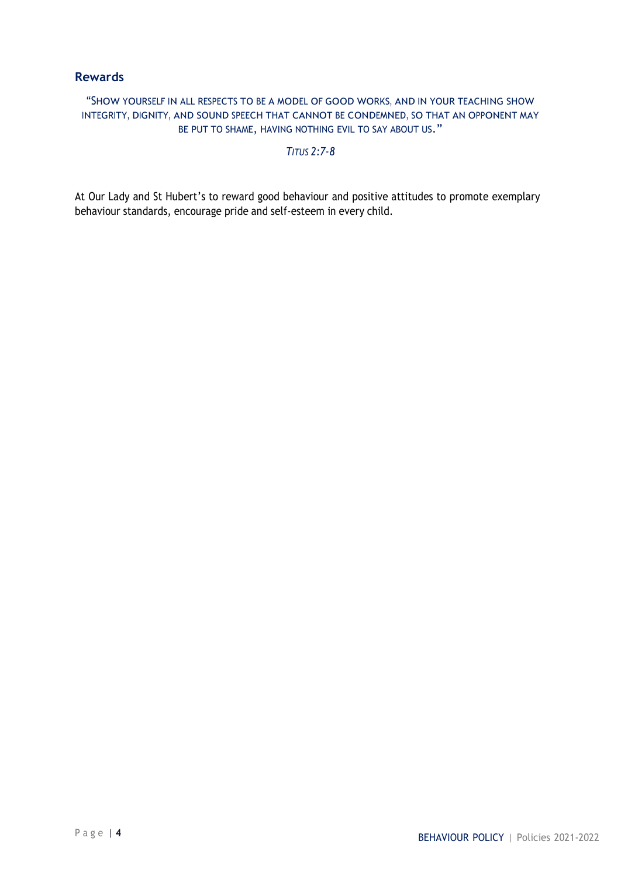# **Rewards**

"SHOW YOURSELF IN ALL RESPECTS TO BE A MODEL OF GOOD WORKS, AND IN YOUR TEACHING SHOW INTEGRITY, DIGNITY, AND SOUND SPEECH THAT CANNOT BE CONDEMNED, SO THAT AN OPPONENT MAY BE PUT TO SHAME, HAVING NOTHING EVIL TO SAY ABOUT US."

#### *TITUS 2:7-8*

At Our Lady and St Hubert's to reward good behaviour and positive attitudes to promote exemplary behaviour standards, encourage pride and self-esteem in every child.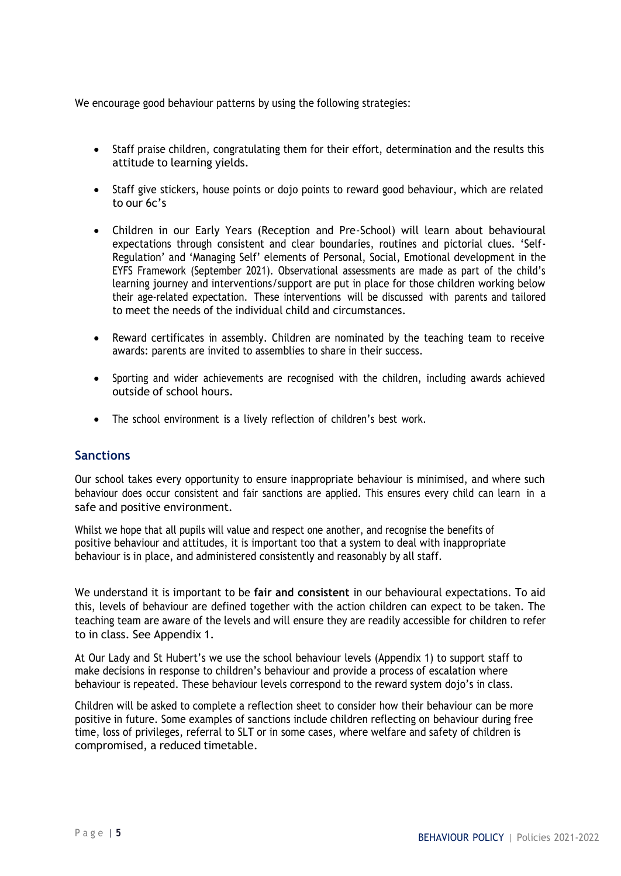We encourage good behaviour patterns by using the following strategies:

- Staff praise children, congratulating them for their effort, determination and the results this attitude to learning yields.
- Staff give stickers, house points or dojo points to reward good behaviour, which are related to our 6c's
- Children in our Early Years (Reception and Pre-School) will learn about behavioural expectations through consistent and clear boundaries, routines and pictorial clues. 'Self-Regulation' and 'Managing Self' elements of Personal, Social, Emotional development in the EYFS Framework (September 2021). Observational assessments are made as part of the child's learning journey and interventions/support are put in place for those children working below their age-related expectation. These interventions will be discussed with parents and tailored to meet the needs of the individual child and circumstances.
- Reward certificates in assembly. Children are nominated by the teaching team to receive awards: parents are invited to assemblies to share in their success.
- Sporting and wider achievements are recognised with the children, including awards achieved outside of school hours.
- The school environment is a lively reflection of children's best work.

#### **Sanctions**

Our school takes every opportunity to ensure inappropriate behaviour is minimised, and where such behaviour does occur consistent and fair sanctions are applied. This ensures every child can learn in a safe and positive environment.

Whilst we hope that all pupils will value and respect one another, and recognise the benefits of positive behaviour and attitudes, it is important too that a system to deal with inappropriate behaviour is in place, and administered consistently and reasonably by all staff.

We understand it is important to be **fair and consistent** in our behavioural expectations. To aid this, levels of behaviour are defined together with the action children can expect to be taken. The teaching team are aware of the levels and will ensure they are readily accessible for children to refer to in class. See Appendix 1.

At Our Lady and St Hubert's we use the school behaviour levels (Appendix 1) to support staff to make decisions in response to children's behaviour and provide a process of escalation where behaviour is repeated. These behaviour levels correspond to the reward system dojo's in class.

Children will be asked to complete a reflection sheet to consider how their behaviour can be more positive in future. Some examples of sanctions include children reflecting on behaviour during free time, loss of privileges, referral to SLT or in some cases, where welfare and safety of children is compromised, a reduced timetable.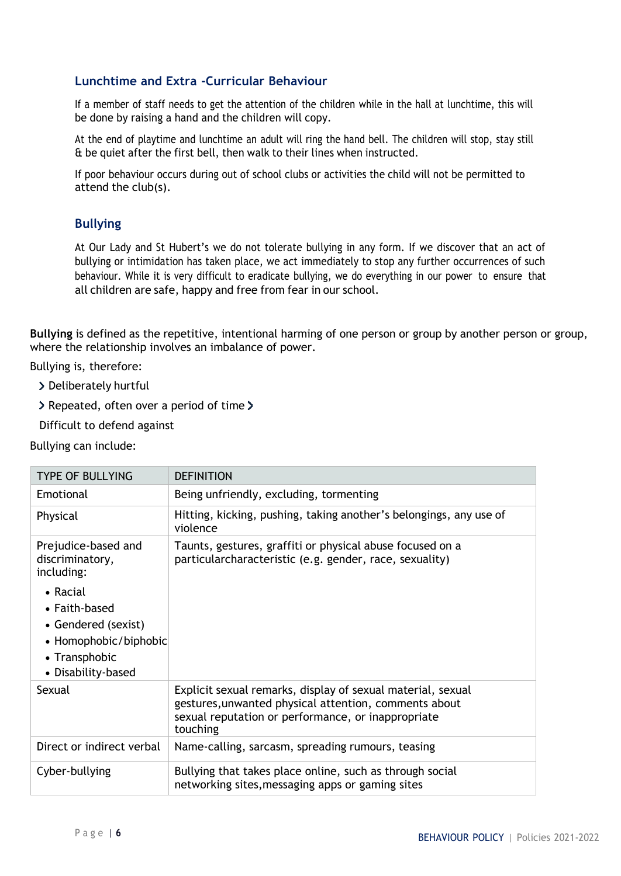# **Lunchtime and Extra -Curricular Behaviour**

If a member of staff needs to get the attention of the children while in the hall at lunchtime, this will be done by raising a hand and the children will copy.

At the end of playtime and lunchtime an adult will ring the hand bell. The children will stop, stay still & be quiet after the first bell, then walk to their lines when instructed.

If poor behaviour occurs during out of school clubs or activities the child will not be permitted to attend the club(s).

# **Bullying**

At Our Lady and St Hubert's we do not tolerate bullying in any form. If we discover that an act of bullying or intimidation has taken place, we act immediately to stop any further occurrences of such behaviour. While it is very difficult to eradicate bullying, we do everything in our power to ensure that all children are safe, happy and free from fear in our school.

**Bullying** is defined as the repetitive, intentional harming of one person or group by another person or group, where the relationship involves an imbalance of power.

Bullying is, therefore:

- > Deliberately hurtful
- > Repeated, often over a period of time >
- Difficult to defend against

Bullying can include:

| <b>TYPE OF BULLYING</b>                                                                                          | <b>DEFINITION</b>                                                                                                                                                                      |
|------------------------------------------------------------------------------------------------------------------|----------------------------------------------------------------------------------------------------------------------------------------------------------------------------------------|
| Emotional                                                                                                        | Being unfriendly, excluding, tormenting                                                                                                                                                |
| Physical                                                                                                         | Hitting, kicking, pushing, taking another's belongings, any use of<br>violence                                                                                                         |
| Prejudice-based and<br>discriminatory,<br>including:                                                             | Taunts, gestures, graffiti or physical abuse focused on a<br>particularcharacteristic (e.g. gender, race, sexuality)                                                                   |
| • Racial<br>• Faith-based<br>• Gendered (sexist)<br>• Homophobic/biphobic<br>• Transphobic<br>• Disability-based |                                                                                                                                                                                        |
| Sexual                                                                                                           | Explicit sexual remarks, display of sexual material, sexual<br>gestures, unwanted physical attention, comments about<br>sexual reputation or performance, or inappropriate<br>touching |
| Direct or indirect verbal                                                                                        | Name-calling, sarcasm, spreading rumours, teasing                                                                                                                                      |
| Cyber-bullying                                                                                                   | Bullying that takes place online, such as through social<br>networking sites, messaging apps or gaming sites                                                                           |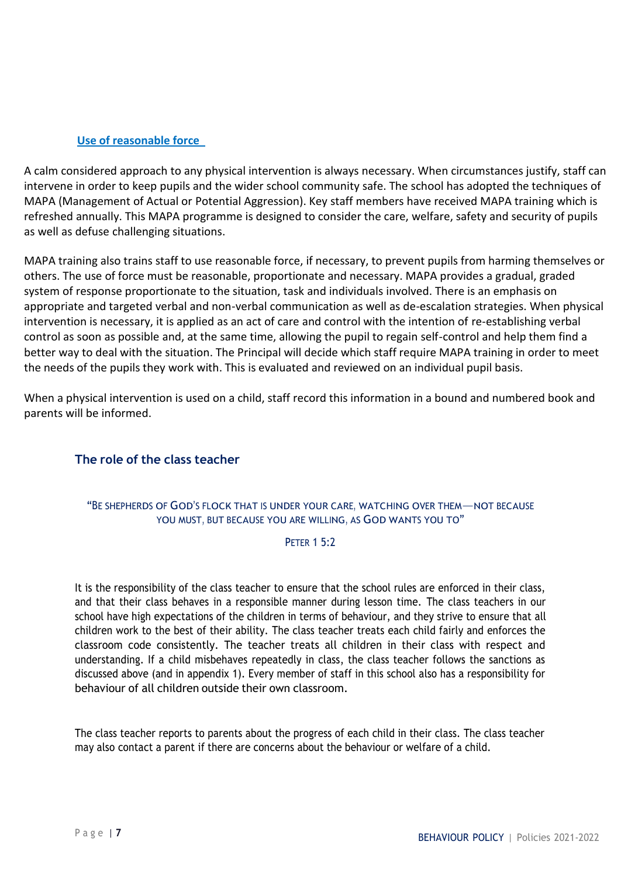#### **Use of reasonable force**

A calm considered approach to any physical intervention is always necessary. When circumstances justify, staff can intervene in order to keep pupils and the wider school community safe. The school has adopted the techniques of MAPA (Management of Actual or Potential Aggression). Key staff members have received MAPA training which is refreshed annually. This MAPA programme is designed to consider the care, welfare, safety and security of pupils as well as defuse challenging situations.

MAPA training also trains staff to use reasonable force, if necessary, to prevent pupils from harming themselves or others. The use of force must be reasonable, proportionate and necessary. MAPA provides a gradual, graded system of response proportionate to the situation, task and individuals involved. There is an emphasis on appropriate and targeted verbal and non-verbal communication as well as de-escalation strategies. When physical intervention is necessary, it is applied as an act of care and control with the intention of re-establishing verbal control as soon as possible and, at the same time, allowing the pupil to regain self-control and help them find a better way to deal with the situation. The Principal will decide which staff require MAPA training in order to meet the needs of the pupils they work with. This is evaluated and reviewed on an individual pupil basis.

When a physical intervention is used on a child, staff record this information in a bound and numbered book and parents will be informed.

# **The role of the class teacher**

#### "B<sup>E</sup> SHEPHERDS OF GOD'<sup>S</sup> FLOCK THAT IS UNDER YOUR CARE, WATCHING OVER THEM—NOT BECAUSE YOU MUST, BUT BECAUSE YOU ARE WILLING, AS GOD WANTS YOU TO"

#### **PETER 1 5:2**

It is the responsibility of the class teacher to ensure that the school rules are enforced in their class, and that their class behaves in a responsible manner during lesson time. The class teachers in our school have high expectations of the children in terms of behaviour, and they strive to ensure that all children work to the best of their ability. The class teacher treats each child fairly and enforces the classroom code consistently. The teacher treats all children in their class with respect and understanding. If a child misbehaves repeatedly in class, the class teacher follows the sanctions as discussed above (and in appendix 1). Every member of staff in this school also has a responsibility for behaviour of all children outside their own classroom.

The class teacher reports to parents about the progress of each child in their class. The class teacher may also contact a parent if there are concerns about the behaviour or welfare of a child.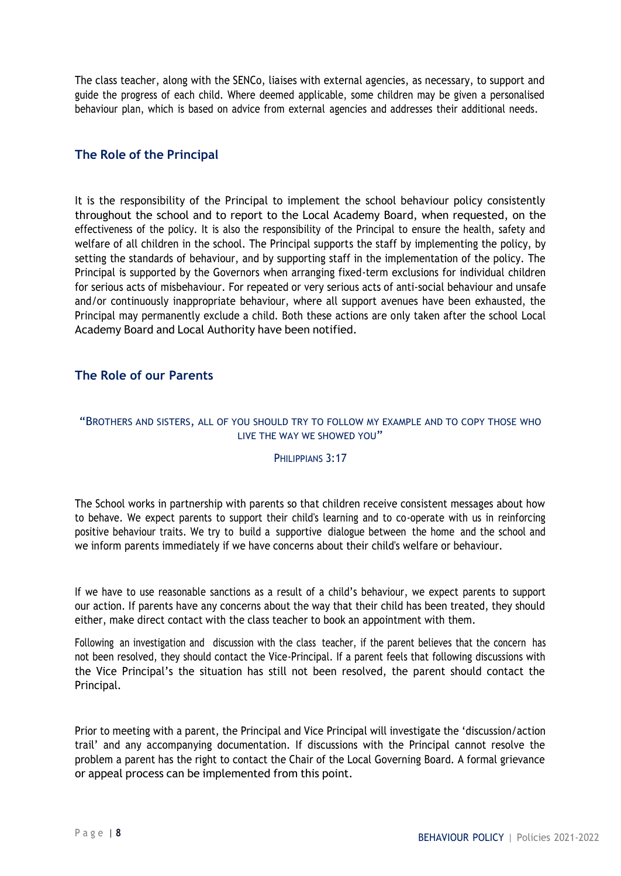The class teacher, along with the SENCo, liaises with external agencies, as necessary, to support and guide the progress of each child. Where deemed applicable, some children may be given a personalised behaviour plan, which is based on advice from external agencies and addresses their additional needs.

# **The Role of the Principal**

It is the responsibility of the Principal to implement the school behaviour policy consistently throughout the school and to report to the Local Academy Board, when requested, on the effectiveness of the policy. It is also the responsibility of the Principal to ensure the health, safety and welfare of all children in the school. The Principal supports the staff by implementing the policy, by setting the standards of behaviour, and by supporting staff in the implementation of the policy. The Principal is supported by the Governors when arranging fixed-term exclusions for individual children for serious acts of misbehaviour. For repeated or very serious acts of anti-social behaviour and unsafe and/or continuously inappropriate behaviour, where all support avenues have been exhausted, the Principal may permanently exclude a child. Both these actions are only taken after the school Local Academy Board and Local Authority have been notified.

# **The Role of our Parents**

#### "BROTHERS AND SISTERS, ALL OF YOU SHOULD TRY TO FOLLOW MY EXAMPLE AND TO COPY THOSE WHO LIVE THE WAY WE SHOWED YOU"

#### PHILIPPIANS 3:17

The School works in partnership with parents so that children receive consistent messages about how to behave. We expect parents to support their child's learning and to co-operate with us in reinforcing positive behaviour traits. We try to build a supportive dialogue between the home and the school and we inform parents immediately if we have concerns about their child's welfare or behaviour.

If we have to use reasonable sanctions as a result of a child's behaviour, we expect parents to support our action. If parents have any concerns about the way that their child has been treated, they should either, make direct contact with the class teacher to book an appointment with them.

Following an investigation and discussion with the class teacher, if the parent believes that the concern has not been resolved, they should contact the Vice-Principal. If a parent feels that following discussions with the Vice Principal's the situation has still not been resolved, the parent should contact the Principal.

Prior to meeting with a parent, the Principal and Vice Principal will investigate the 'discussion/action trail' and any accompanying documentation. If discussions with the Principal cannot resolve the problem a parent has the right to contact the Chair of the Local Governing Board. A formal grievance or appeal process can be implemented from this point.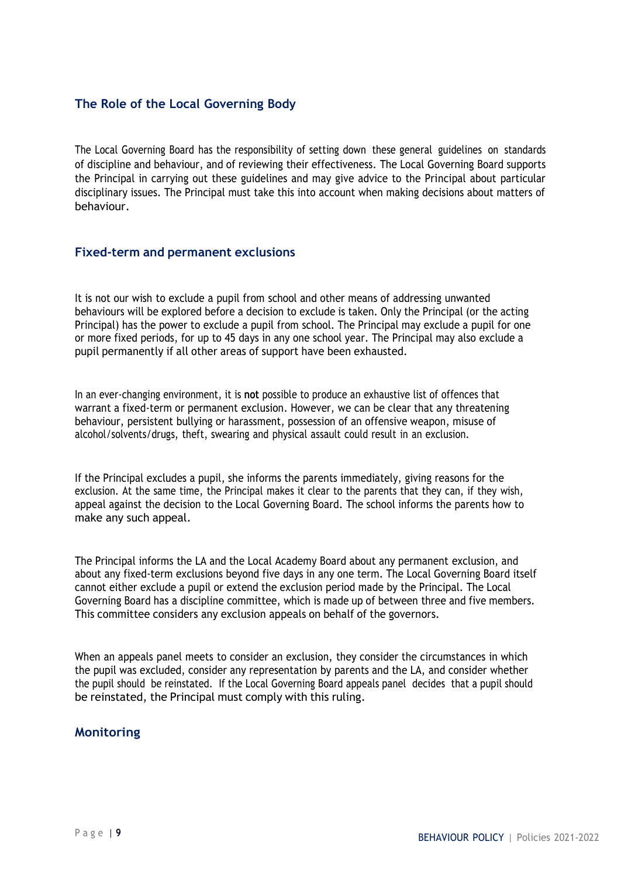# **The Role of the Local Governing Body**

The Local Governing Board has the responsibility of setting down these general guidelines on standards of discipline and behaviour, and of reviewing their effectiveness. The Local Governing Board supports the Principal in carrying out these guidelines and may give advice to the Principal about particular disciplinary issues. The Principal must take this into account when making decisions about matters of behaviour.

#### **Fixed-term and permanent exclusions**

It is not our wish to exclude a pupil from school and other means of addressing unwanted behaviours will be explored before a decision to exclude is taken. Only the Principal (or the acting Principal) has the power to exclude a pupil from school. The Principal may exclude a pupil for one or more fixed periods, for up to 45 days in any one school year. The Principal may also exclude a pupil permanently if all other areas of support have been exhausted.

In an ever-changing environment, it is **not** possible to produce an exhaustive list of offences that warrant a fixed-term or permanent exclusion. However, we can be clear that any threatening behaviour, persistent bullying or harassment, possession of an offensive weapon, misuse of alcohol/solvents/drugs, theft, swearing and physical assault could result in an exclusion.

If the Principal excludes a pupil, she informs the parents immediately, giving reasons for the exclusion. At the same time, the Principal makes it clear to the parents that they can, if they wish, appeal against the decision to the Local Governing Board. The school informs the parents how to make any such appeal.

The Principal informs the LA and the Local Academy Board about any permanent exclusion, and about any fixed-term exclusions beyond five days in any one term. The Local Governing Board itself cannot either exclude a pupil or extend the exclusion period made by the Principal. The Local Governing Board has a discipline committee, which is made up of between three and five members. This committee considers any exclusion appeals on behalf of the governors.

When an appeals panel meets to consider an exclusion, they consider the circumstances in which the pupil was excluded, consider any representation by parents and the LA, and consider whether the pupil should be reinstated. If the Local Governing Board appeals panel decides that a pupil should be reinstated, the Principal must comply with this ruling.

# **Monitoring**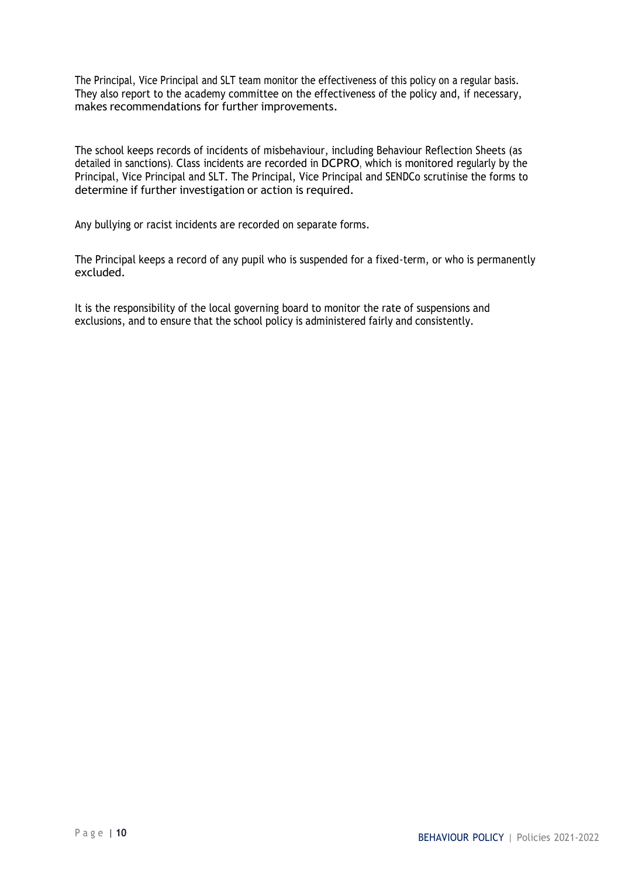The Principal, Vice Principal and SLT team monitor the effectiveness of this policy on a regular basis. They also report to the academy committee on the effectiveness of the policy and, if necessary, makes recommendations for further improvements.

The school keeps records of incidents of misbehaviour, including Behaviour Reflection Sheets (as detailed in sanctions). Class incidents are recorded in DCPRO, which is monitored regularly by the Principal, Vice Principal and SLT. The Principal, Vice Principal and SENDCo scrutinise the forms to determine if further investigation or action is required.

Any bullying or racist incidents are recorded on separate forms.

The Principal keeps a record of any pupil who is suspended for a fixed-term, or who is permanently excluded.

It is the responsibility of the local governing board to monitor the rate of suspensions and exclusions, and to ensure that the school policy is administered fairly and consistently.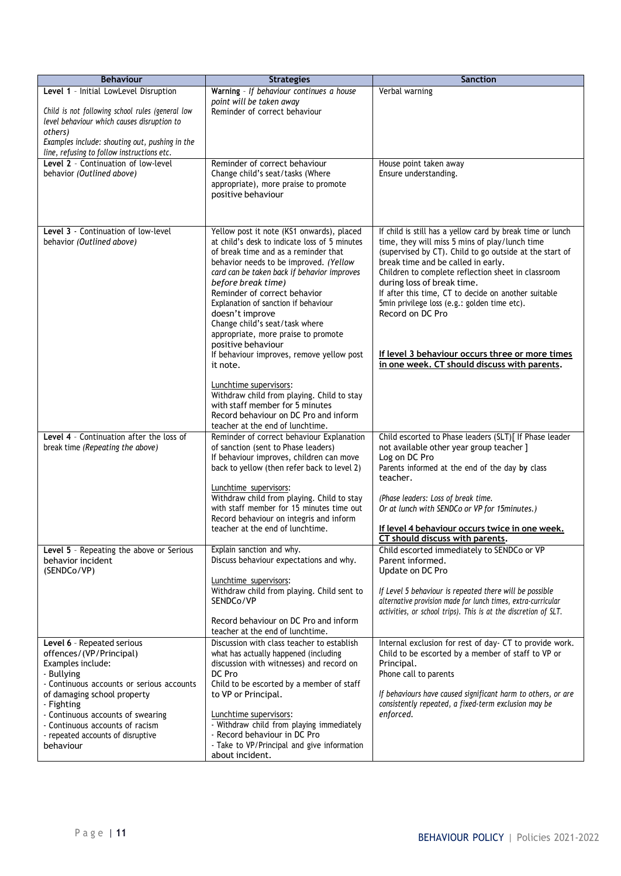| <b>Behaviour</b>                                                             | <b>Strategies</b>                                                                          | <b>Sanction</b>                                                                                               |
|------------------------------------------------------------------------------|--------------------------------------------------------------------------------------------|---------------------------------------------------------------------------------------------------------------|
| Level 1 - Initial LowLevel Disruption                                        | Warning - If behaviour continues a house                                                   | Verbal warning                                                                                                |
| Child is not following school rules (general low                             | point will be taken away<br>Reminder of correct behaviour                                  |                                                                                                               |
| level behaviour which causes disruption to                                   |                                                                                            |                                                                                                               |
| others)<br>Examples include: shouting out, pushing in the                    |                                                                                            |                                                                                                               |
| line, refusing to follow instructions etc.                                   |                                                                                            |                                                                                                               |
| Level 2 - Continuation of low-level                                          | Reminder of correct behaviour                                                              | House point taken away                                                                                        |
| behavior (Outlined above)                                                    | Change child's seat/tasks (Where<br>appropriate), more praise to promote                   | Ensure understanding.                                                                                         |
|                                                                              | positive behaviour                                                                         |                                                                                                               |
|                                                                              |                                                                                            |                                                                                                               |
|                                                                              |                                                                                            |                                                                                                               |
| Level 3 - Continuation of low-level<br>behavior (Outlined above)             | Yellow post it note (KS1 onwards), placed<br>at child's desk to indicate loss of 5 minutes | If child is still has a yellow card by break time or lunch<br>time, they will miss 5 mins of play/lunch time  |
|                                                                              | of break time and as a reminder that                                                       | (supervised by CT). Child to go outside at the start of                                                       |
|                                                                              | behavior needs to be improved. (Yellow                                                     | break time and be called in early.                                                                            |
|                                                                              | card can be taken back if behavior improves<br>before break time)                          | Children to complete reflection sheet in classroom<br>during loss of break time.                              |
|                                                                              | Reminder of correct behavior                                                               | If after this time, CT to decide on another suitable                                                          |
|                                                                              | Explanation of sanction if behaviour<br>doesn't improve                                    | 5min privilege loss (e.g.: golden time etc).<br>Record on DC Pro                                              |
|                                                                              | Change child's seat/task where                                                             |                                                                                                               |
|                                                                              | appropriate, more praise to promote<br>positive behaviour                                  |                                                                                                               |
|                                                                              | If behaviour improves, remove yellow post                                                  | If level 3 behaviour occurs three or more times                                                               |
|                                                                              | it note.                                                                                   | in one week. CT should discuss with parents.                                                                  |
|                                                                              | Lunchtime supervisors:                                                                     |                                                                                                               |
|                                                                              | Withdraw child from playing. Child to stay<br>with staff member for 5 minutes              |                                                                                                               |
|                                                                              | Record behaviour on DC Pro and inform                                                      |                                                                                                               |
|                                                                              | teacher at the end of lunchtime.                                                           |                                                                                                               |
| Level 4 - Continuation after the loss of<br>break time (Repeating the above) | Reminder of correct behaviour Explanation<br>of sanction (sent to Phase leaders)           | Child escorted to Phase leaders (SLT)[ If Phase leader<br>not available other year group teacher ]            |
|                                                                              | If behaviour improves, children can move                                                   | Log on DC Pro                                                                                                 |
|                                                                              | back to yellow (then refer back to level 2)                                                | Parents informed at the end of the day by class                                                               |
|                                                                              | Lunchtime supervisors:                                                                     | teacher.                                                                                                      |
|                                                                              | Withdraw child from playing. Child to stay                                                 | (Phase leaders: Loss of break time.                                                                           |
|                                                                              | with staff member for 15 minutes time out<br>Record behaviour on integris and inform       | Or at lunch with SENDCo or VP for 15minutes.)                                                                 |
|                                                                              | teacher at the end of lunchtime.                                                           | If level 4 behaviour occurs twice in one week.                                                                |
|                                                                              | Explain sanction and why.                                                                  | CT should discuss with parents.                                                                               |
| Level 5 - Repeating the above or Serious<br>behavior incident                | Discuss behaviour expectations and why.                                                    | Child escorted immediately to SENDCo or VP<br>Parent informed.                                                |
| (SENDCo/VP)                                                                  | Lunchtime supervisors:                                                                     | Update on DC Pro                                                                                              |
|                                                                              | Withdraw child from playing. Child sent to                                                 | If Level 5 behaviour is repeated there will be possible                                                       |
|                                                                              | SENDCo/VP                                                                                  | alternative provision made for lunch times, extra-curricular                                                  |
|                                                                              | Record behaviour on DC Pro and inform                                                      | activities, or school trips). This is at the discretion of SLT.                                               |
|                                                                              | teacher at the end of lunchtime.                                                           |                                                                                                               |
| Level 6 - Repeated serious<br>offences/(VP/Principal)                        | Discussion with class teacher to establish<br>what has actually happened (including        | Internal exclusion for rest of day- CT to provide work.<br>Child to be escorted by a member of staff to VP or |
| Examples include:                                                            | discussion with witnesses) and record on                                                   | Principal.                                                                                                    |
| - Bullying                                                                   | DC Pro                                                                                     | Phone call to parents                                                                                         |
| - Continuous accounts or serious accounts<br>of damaging school property     | Child to be escorted by a member of staff<br>to VP or Principal.                           | If behaviours have caused significant harm to others, or are                                                  |
| - Fighting                                                                   |                                                                                            | consistently repeated, a fixed-term exclusion may be                                                          |
| - Continuous accounts of swearing<br>- Continuous accounts of racism         | Lunchtime supervisors:<br>- Withdraw child from playing immediately                        | enforced.                                                                                                     |
| - repeated accounts of disruptive                                            | - Record behaviour in DC Pro                                                               |                                                                                                               |
| behaviour                                                                    | - Take to VP/Principal and give information                                                |                                                                                                               |
|                                                                              | about incident.                                                                            |                                                                                                               |